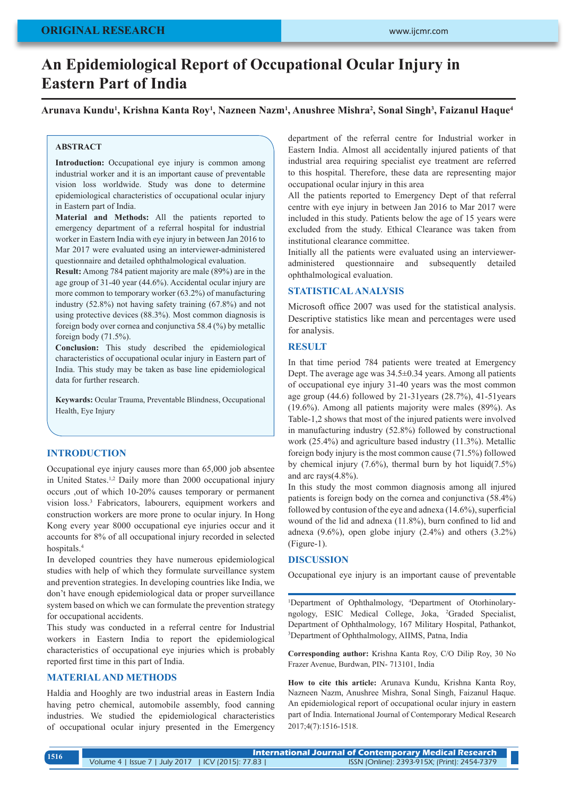# **An Epidemiological Report of Occupational Ocular Injury in Eastern Part of India**

**Arunava Kundu1 , Krishna Kanta Roy1 , Nazneen Nazm1 , Anushree Mishra2 , Sonal Singh3 , Faizanul Haque4**

# **ABSTRACT**

**Introduction:** Occupational eye injury is common among industrial worker and it is an important cause of preventable vision loss worldwide. Study was done to determine epidemiological characteristics of occupational ocular injury in Eastern part of India.

**Material and Methods:** All the patients reported to emergency department of a referral hospital for industrial worker in Eastern India with eye injury in between Jan 2016 to Mar 2017 were evaluated using an interviewer-administered questionnaire and detailed ophthalmological evaluation.

**Result:** Among 784 patient majority are male (89%) are in the age group of 31-40 year (44.6%). Accidental ocular injury are more common to temporary worker (63.2%) of manufacturing industry (52.8%) not having safety training (67.8%) and not using protective devices (88.3%). Most common diagnosis is foreign body over cornea and conjunctiva 58.4 (%) by metallic foreign body (71.5%).

**Conclusion:** This study described the epidemiological characteristics of occupational ocular injury in Eastern part of India. This study may be taken as base line epidemiological data for further research.

**Keywards:** Ocular Trauma, Preventable Blindness, Occupational Health, Eye Injury

# **INTRODUCTION**

Occupational eye injury causes more than 65,000 job absentee in United States.1,2 Daily more than 2000 occupational injury occurs ,out of which 10-20% causes temporary or permanent vision loss.3 Fabricators, labourers, equipment workers and construction workers are more prone to ocular injury. In Hong Kong every year 8000 occupational eye injuries occur and it accounts for 8% of all occupational injury recorded in selected hospitals.4

In developed countries they have numerous epidemiological studies with help of which they formulate surveillance system and prevention strategies. In developing countries like India, we don't have enough epidemiological data or proper surveillance system based on which we can formulate the prevention strategy for occupational accidents.

This study was conducted in a referral centre for Industrial workers in Eastern India to report the epidemiological characteristics of occupational eye injuries which is probably reported first time in this part of India.

# **MATERIAL AND METHODS**

Haldia and Hooghly are two industrial areas in Eastern India having petro chemical, automobile assembly, food canning industries. We studied the epidemiological characteristics of occupational ocular injury presented in the Emergency department of the referral centre for Industrial worker in Eastern India. Almost all accidentally injured patients of that industrial area requiring specialist eye treatment are referred to this hospital. Therefore, these data are representing major occupational ocular injury in this area

All the patients reported to Emergency Dept of that referral centre with eye injury in between Jan 2016 to Mar 2017 were included in this study. Patients below the age of 15 years were excluded from the study. Ethical Clearance was taken from institutional clearance committee.

Initially all the patients were evaluated using an intervieweradministered questionnaire and subsequently detailed ophthalmological evaluation.

### **STATISTICAL ANALYSIS**

Microsoft office 2007 was used for the statistical analysis. Descriptive statistics like mean and percentages were used for analysis.

# **RESULT**

In that time period 784 patients were treated at Emergency Dept. The average age was 34.5±0.34 years. Among all patients of occupational eye injury 31-40 years was the most common age group (44.6) followed by 21-31years (28.7%), 41-51years (19.6%). Among all patients majority were males (89%). As Table-1,2 shows that most of the injured patients were involved in manufacturing industry (52.8%) followed by constructional work (25.4%) and agriculture based industry (11.3%). Metallic foreign body injury is the most common cause (71.5%) followed by chemical injury (7.6%), thermal burn by hot liquid(7.5%) and arc rays(4.8%).

In this study the most common diagnosis among all injured patients is foreign body on the cornea and conjunctiva (58.4%) followed by contusion of the eye and adnexa (14.6%), superficial wound of the lid and adnexa (11.8%), burn confined to lid and adnexa  $(9.6\%)$ , open globe injury  $(2.4\%)$  and others  $(3.2\%)$ (Figure-1).

## **DISCUSSION**

Occupational eye injury is an important cause of preventable

<sup>1</sup>Department of Ophthalmology, <sup>4</sup>Department of Otorhinolaryngology, ESIC Medical College, Joka, 2 Graded Specialist, Department of Ophthalmology, 167 Military Hospital, Pathankot, 3 Department of Ophthalmology, AIIMS, Patna, India

**Corresponding author:** Krishna Kanta Roy, C/O Dilip Roy, 30 No Frazer Avenue, Burdwan, PIN- 713101, India

**How to cite this article:** Arunava Kundu, Krishna Kanta Roy, Nazneen Nazm, Anushree Mishra, Sonal Singh, Faizanul Haque. An epidemiological report of occupational ocular injury in eastern part of India. International Journal of Contemporary Medical Research 2017;4(7):1516-1518.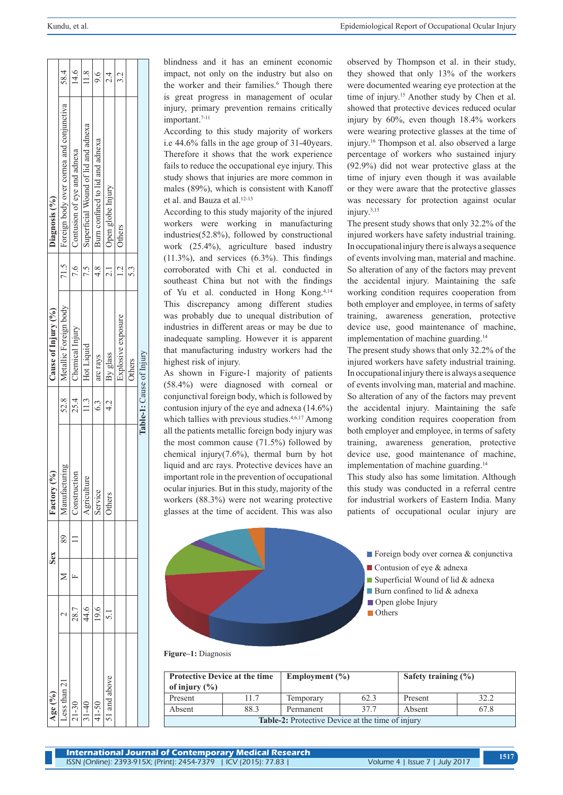| ge (%)      |      | Sex | $\binom{0}{0}$<br>Factory   |            | Cause of Injury (%)      |               | Diagnosis (%)                            |           |
|-------------|------|-----|-----------------------------|------------|--------------------------|---------------|------------------------------------------|-----------|
| ess than 21 |      | 89  | mring<br>Aanufact           | 52.8       | Metallic Foreign body    | 71.5          | Foreign body over cornea and conjunctiva | 58.4      |
| $1 - 30$    | 28.7 |     | Construction                | 25.4       | Chemical Injury          | 7.6           | Contusion of eye and adnexa              | 14.6      |
| $1 - 40$    | 44.6 |     | Ľe<br>Agricultur<br>Service | 11.3       | Hot Liquid               |               | Superficial Wound of lid and adnexa      | 11.8      |
| $1-50$      | 19.6 |     |                             | $\ddot{6}$ | arc rays                 | $\frac{8}{4}$ | Burn confined to lid and adnexa          | 9.6       |
| 1 and above |      |     | <b>Others</b>               | 4.2<br>प   | By glass                 |               | Open globe Injury                        | 2.4<br>2  |
|             |      |     |                             |            | Explosive exposure       | $\frac{1}{2}$ | Others                                   | 3.3<br>3. |
|             |      |     |                             |            | Others                   | 53            |                                          |           |
|             |      |     |                             |            | Table-1: Cause of Injury |               |                                          |           |

blindness and it has an eminent economic impact, not only on the industry but also on the worker and their families.<sup>6</sup> Though there is great progress in management of ocular injury, primary prevention remains critically important.<sup>7-11</sup>

According to this study majority of workers i.e 44.6% falls in the age group of 31-40years. Therefore it shows that the work experience fails to reduce the occupational eye injury. This study shows that injuries are more common in males (89%), which is consistent with Kanoff et al. and Bauza et al.<sup>12-13</sup>

According to this study majority of the injured workers were working in manufacturing industries(52.8%), followed by constructional work (25.4%), agriculture based industry (11.3%), and services (6.3%). This findings corroborated with Chi et al. conducted in southeast China but not with the findings of Yu et al. conducted in Hong Kong.4,14 This discrepancy among different studies was probably due to unequal distribution of industries in different areas or may be due to inadequate sampling. However it is apparent that manufacturing industry workers had the highest risk of injury.

As shown in Figure-1 majority of patients (58.4%) were diagnosed with corneal or conjunctival foreign body, which is followed by contusion injury of the eye and adnexa (14.6%) which tallies with previous studies.<sup>4,6,17</sup> Among all the patients metallic foreign body injury was the most common cause (71.5%) followed by chemical injury(7.6%), thermal burn by hot liquid and arc rays. Protective devices have an important role in the prevention of occupational ocular injuries. But in this study, majority of the workers (88.3%) were not wearing protective glasses at the time of accident. This was also

observed by Thompson et al. in their study, they showed that only 13% of the workers were documented wearing eye protection at the time of injury.<sup>15</sup> Another study by Chen et al. showed that protective devices reduced ocular injury by 60%, even though 18.4% workers were wearing protective glasses at the time of injury.16 Thompson et al. also observed a large percentage of workers who sustained injury (92.9%) did not wear protective glass at the time of injury even though it was available or they were aware that the protective glasses was necessary for protection against ocular injury.3,15

The present study shows that only 32.2% of the injured workers have safety industrial training. In occupational injury there is always a sequence of events involving man, material and machine. So alteration of any of the factors may prevent the accidental injury. Maintaining the safe working condition requires cooperation from both employer and employee, in terms of safety training, awareness generation, protective device use, good maintenance of machine, implementation of machine guarding.14

The present study shows that only 32.2% of the injured workers have safety industrial training. In occupational injury there is always a sequence of events involving man, material and machine. So alteration of any of the factors may prevent the accidental injury. Maintaining the safe working condition requires cooperation from both employer and employee, in terms of safety training, awareness generation, protective device use, good maintenance of machine, implementation of machine guarding.14

This study also has some limitation. Although this study was conducted in a referral centre for industrial workers of Eastern India. Many patients of occupational ocular injury are



**Figure–1:** Diagnosis

| <b>Protective Device at the time</b><br>of injury $(\% )$ |      | Employment $(\% )$ |      | Safety training $(\% )$ |      |  |  |  |
|-----------------------------------------------------------|------|--------------------|------|-------------------------|------|--|--|--|
| Present                                                   | 11.7 | Temporary          | 62.3 | Present                 | 32.2 |  |  |  |
| Absent                                                    | 88.3 | Permanent          | 37.7 | Absent                  | 67.8 |  |  |  |
| <b>Table-2:</b> Protective Device at the time of injury   |      |                    |      |                         |      |  |  |  |